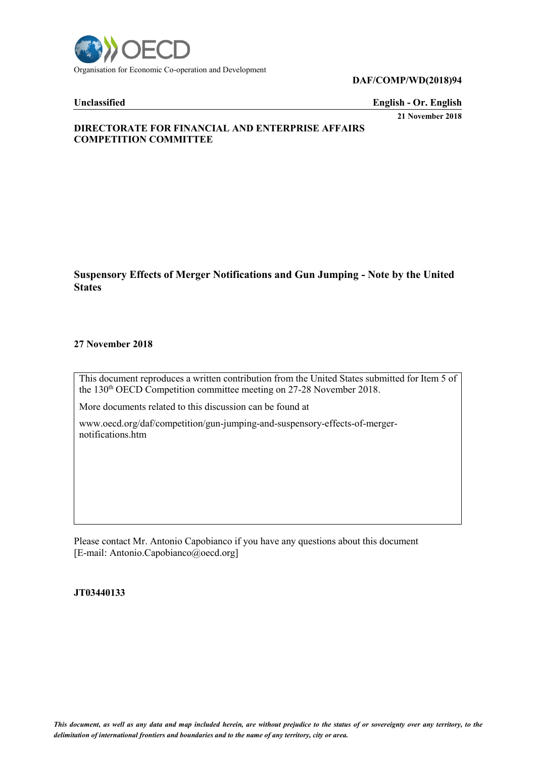

#### **DAF/COMP/WD(2018)94**

**Unclassified English - Or. English**

**21 November 2018**

# **DIRECTORATE FOR FINANCIAL AND ENTERPRISE AFFAIRS COMPETITION COMMITTEE**

**Suspensory Effects of Merger Notifications and Gun Jumping - Note by the United States**

#### **27 November 2018**

This document reproduces a written contribution from the United States submitted for Item 5 of the 130<sup>th</sup> OECD Competition committee meeting on 27-28 November 2018.

More documents related to this discussion can be found at

www.oecd.org/daf/competition/gun-jumping-and-suspensory-effects-of-mergernotifications.htm

Please contact Mr. Antonio Capobianco if you have any questions about this document [E-mail: Antonio.Capobianco@oecd.org]

#### **JT03440133**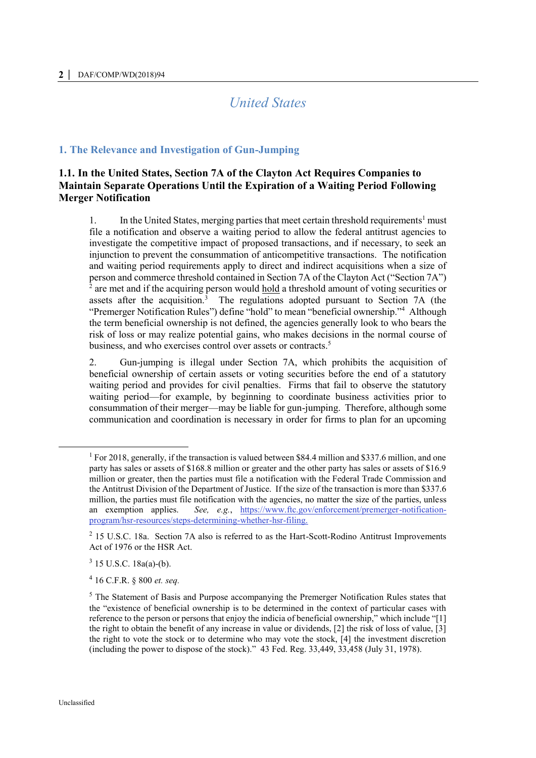# *United States*

#### **1. The Relevance and Investigation of Gun-Jumping**

# **1.1. In the United States, Section 7A of the Clayton Act Requires Companies to Maintain Separate Operations Until the Expiration of a Waiting Period Following Merger Notification**

1. In the United States, merging parties that meet certain threshold requirements<sup>1</sup> must file a notification and observe a waiting period to allow the federal antitrust agencies to investigate the competitive impact of proposed transactions, and if necessary, to seek an injunction to prevent the consummation of anticompetitive transactions. The notification and waiting period requirements apply to direct and indirect acquisitions when a size of person and commerce threshold contained in Section 7A of the Clayton Act ("Section 7A") 2 are met and if the acquiring person would hold a threshold amount of voting securities or assets after the acquisition.<sup>3</sup> The regulations adopted pursuant to Section 7A (the "Premerger Notification Rules") define "hold" to mean "beneficial ownership."<sup>4</sup> Although the term beneficial ownership is not defined, the agencies generally look to who bears the risk of loss or may realize potential gains, who makes decisions in the normal course of business, and who exercises control over assets or contracts.<sup>5</sup>

2. Gun-jumping is illegal under Section 7A, which prohibits the acquisition of beneficial ownership of certain assets or voting securities before the end of a statutory waiting period and provides for civil penalties. Firms that fail to observe the statutory waiting period—for example, by beginning to coordinate business activities prior to consummation of their merger—may be liable for gun-jumping. Therefore, although some communication and coordination is necessary in order for firms to plan for an upcoming

<sup>1</sup> For 2018, generally, if the transaction is valued between \$84.4 million and \$337.6 million, and one party has sales or assets of \$168.8 million or greater and the other party has sales or assets of \$16.9 million or greater, then the parties must file a notification with the Federal Trade Commission and the Antitrust Division of the Department of Justice. If the size of the transaction is more than \$337.6 million, the parties must file notification with the agencies, no matter the size of the parties, unless an exemption applies. *See, e.g.*, [https://www.ftc.gov/enforcement/premerger-notification](https://www.ftc.gov/enforcement/premerger-notification-program/hsr-resources/steps-determining-whether-hsr-filing)[program/hsr-resources/steps-determining-whether-hsr-filing.](https://www.ftc.gov/enforcement/premerger-notification-program/hsr-resources/steps-determining-whether-hsr-filing)

<sup>&</sup>lt;sup>2</sup> 15 U.S.C. 18a. Section 7A also is referred to as the Hart-Scott-Rodino Antitrust Improvements Act of 1976 or the HSR Act.

 $3$  15 U.S.C. 18a(a)-(b).

<sup>4</sup> 16 C.F.R. § 800 *et. seq.*

<sup>&</sup>lt;sup>5</sup> The Statement of Basis and Purpose accompanying the Premerger Notification Rules states that the "existence of beneficial ownership is to be determined in the context of particular cases with reference to the person or persons that enjoy the indicia of beneficial ownership," which include "[1] the right to obtain the benefit of any increase in value or dividends, [2] the risk of loss of value, [3] the right to vote the stock or to determine who may vote the stock, [4] the investment discretion (including the power to dispose of the stock)." 43 Fed. Reg. 33,449, 33,458 (July 31, 1978).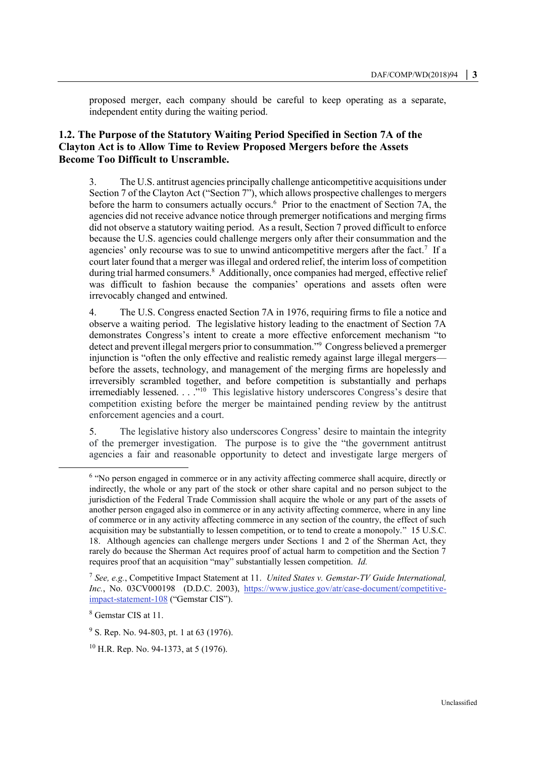proposed merger, each company should be careful to keep operating as a separate, independent entity during the waiting period.

# **1.2. The Purpose of the Statutory Waiting Period Specified in Section 7A of the Clayton Act is to Allow Time to Review Proposed Mergers before the Assets Become Too Difficult to Unscramble.**

3. The U.S. antitrust agencies principally challenge anticompetitive acquisitions under Section 7 of the Clayton Act ("Section 7"), which allows prospective challenges to mergers before the harm to consumers actually occurs.<sup>6</sup> Prior to the enactment of Section 7A, the agencies did not receive advance notice through premerger notifications and merging firms did not observe a statutory waiting period. As a result, Section 7 proved difficult to enforce because the U.S. agencies could challenge mergers only after their consummation and the agencies' only recourse was to sue to unwind anticompetitive mergers after the fact.<sup>7</sup> If a court later found that a merger was illegal and ordered relief, the interim loss of competition during trial harmed consumers.<sup>8</sup> Additionally, once companies had merged, effective relief was difficult to fashion because the companies' operations and assets often were irrevocably changed and entwined.

4. The U.S. Congress enacted Section 7A in 1976, requiring firms to file a notice and observe a waiting period. The legislative history leading to the enactment of Section 7A demonstrates Congress's intent to create a more effective enforcement mechanism "to detect and prevent illegal mergers prior to consummation."<sup>9</sup> Congress believed a premerger injunction is "often the only effective and realistic remedy against large illegal mergers before the assets, technology, and management of the merging firms are hopelessly and irreversibly scrambled together, and before competition is substantially and perhaps irremediably lessened. . . ."<sup>10</sup> This legislative history underscores Congress's desire that competition existing before the merger be maintained pending review by the antitrust enforcement agencies and a court.

5. The legislative history also underscores Congress' desire to maintain the integrity of the premerger investigation. The purpose is to give the "the government antitrust agencies a fair and reasonable opportunity to detect and investigate large mergers of

<sup>&</sup>lt;sup>6</sup> "No person engaged in commerce or in any activity affecting commerce shall acquire, directly or indirectly, the whole or any part of the stock or other share capital and no person subject to the jurisdiction of the Federal Trade Commission shall acquire the whole or any part of the assets of another person engaged also in commerce or in any activity affecting commerce, where in any line of commerce or in any activity affecting commerce in any section of the country, the effect of such acquisition may be substantially to lessen competition, or to tend to create a monopoly." 15 U.S.C. 18. Although agencies can challenge mergers under Sections 1 and 2 of the Sherman Act, they rarely do because the Sherman Act requires proof of actual harm to competition and the Section 7 requires proof that an acquisition "may" substantially lessen competition. *Id.*

<sup>7</sup> *See, e.g.*, Competitive Impact Statement at 11. *United States v. Gemstar-TV Guide International, Inc.*, No. 03CV000198 (D.D.C. 2003), [https://www.justice.gov/atr/case-document/competitive](https://www.justice.gov/atr/case-document/competitive-impact-statement-108)[impact-statement-108](https://www.justice.gov/atr/case-document/competitive-impact-statement-108) ("Gemstar CIS").

<sup>8</sup> Gemstar CIS at 11.

<sup>&</sup>lt;sup>9</sup> S. Rep. No. 94-803, pt. 1 at 63 (1976).

 $10$  H.R. Rep. No. 94-1373, at 5 (1976).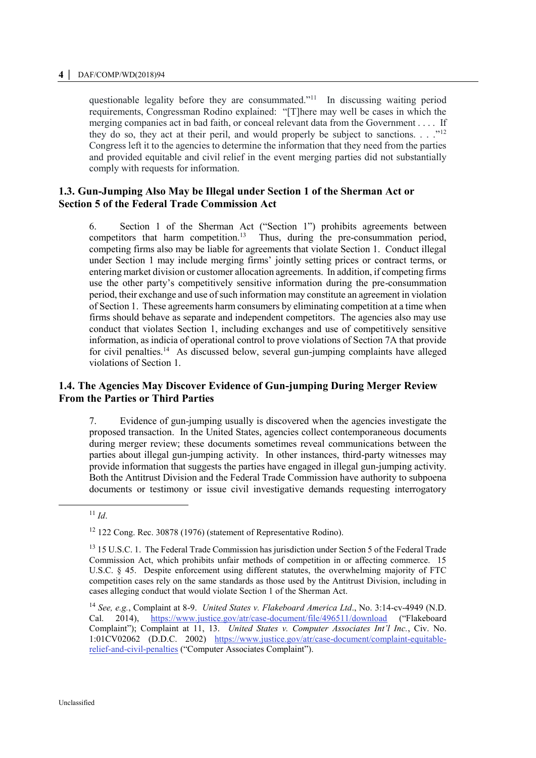#### **4 │** DAF/COMP/WD(2018)94

questionable legality before they are consummated."<sup>11</sup> In discussing waiting period requirements, Congressman Rodino explained: "[T]here may well be cases in which the merging companies act in bad faith, or conceal relevant data from the Government . . . . If they do so, they act at their peril, and would properly be subject to sanctions.  $\ldots$ <sup>12</sup> Congress left it to the agencies to determine the information that they need from the parties and provided equitable and civil relief in the event merging parties did not substantially comply with requests for information.

## **1.3. Gun-Jumping Also May be Illegal under Section 1 of the Sherman Act or Section 5 of the Federal Trade Commission Act**

6. Section 1 of the Sherman Act ("Section 1") prohibits agreements between competitors that harm competition.<sup>13</sup> Thus, during the pre-consummation period, competing firms also may be liable for agreements that violate Section 1. Conduct illegal under Section 1 may include merging firms' jointly setting prices or contract terms, or entering market division or customer allocation agreements. In addition, if competing firms use the other party's competitively sensitive information during the pre-consummation period, their exchange and use of such information may constitute an agreement in violation of Section 1. These agreements harm consumers by eliminating competition at a time when firms should behave as separate and independent competitors. The agencies also may use conduct that violates Section 1, including exchanges and use of competitively sensitive information, as indicia of operational control to prove violations of Section 7A that provide for civil penalties.<sup>14</sup> As discussed below, several gun-jumping complaints have alleged violations of Section 1.

# **1.4. The Agencies May Discover Evidence of Gun-jumping During Merger Review From the Parties or Third Parties**

7. Evidence of gun-jumping usually is discovered when the agencies investigate the proposed transaction. In the United States, agencies collect contemporaneous documents during merger review; these documents sometimes reveal communications between the parties about illegal gun-jumping activity. In other instances, third-party witnesses may provide information that suggests the parties have engaged in illegal gun-jumping activity. Both the Antitrust Division and the Federal Trade Commission have authority to subpoena documents or testimony or issue civil investigative demands requesting interrogatory

 $11$  *Id.* 

<sup>&</sup>lt;sup>12</sup> 122 Cong. Rec. 30878 (1976) (statement of Representative Rodino).

<sup>&</sup>lt;sup>13</sup> 15 U.S.C. 1. The Federal Trade Commission has jurisdiction under Section 5 of the Federal Trade Commission Act, which prohibits unfair methods of competition in or affecting commerce. 15 U.S.C. § 45. Despite enforcement using different statutes, the overwhelming majority of FTC competition cases rely on the same standards as those used by the Antitrust Division, including in cases alleging conduct that would violate Section 1 of the Sherman Act.

<sup>14</sup> *See, e.g.*, Complaint at 8-9. *United States v. Flakeboard America Ltd*., No. 3:14-cv-4949 (N.D. Cal. 2014), <https://www.justice.gov/atr/case-document/file/496511/download> ("Flakeboard Complaint"); Complaint at 11, 13. *United States v. Computer Associates Int'l Inc.*, Civ. No. 1:01CV02062 (D.D.C. 2002) [https://www.justice.gov/atr/case-document/complaint-equitable](https://www.justice.gov/atr/case-document/complaint-equitable-relief-and-civil-penalties)[relief-and-civil-penalties](https://www.justice.gov/atr/case-document/complaint-equitable-relief-and-civil-penalties) ("Computer Associates Complaint").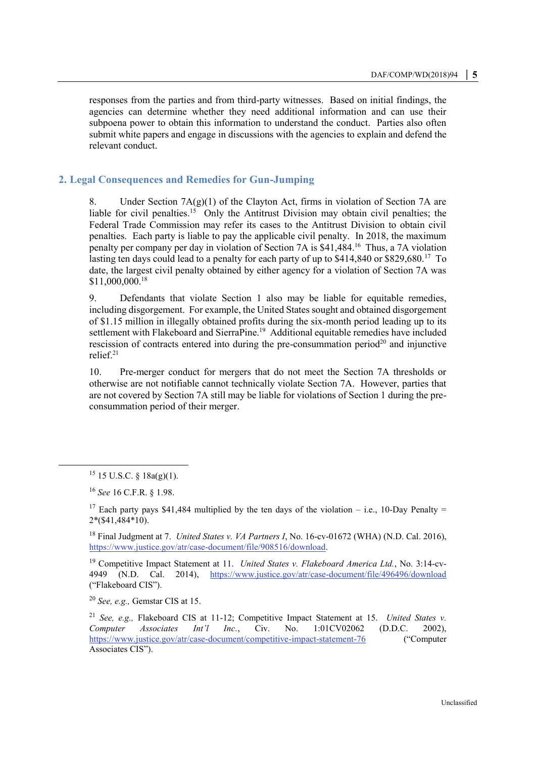responses from the parties and from third-party witnesses. Based on initial findings, the agencies can determine whether they need additional information and can use their subpoena power to obtain this information to understand the conduct. Parties also often submit white papers and engage in discussions with the agencies to explain and defend the relevant conduct.

#### **2. Legal Consequences and Remedies for Gun-Jumping**

8. Under Section  $7A(g)(1)$  of the Clayton Act, firms in violation of Section 7A are liable for civil penalties.<sup>15</sup> Only the Antitrust Division may obtain civil penalties; the Federal Trade Commission may refer its cases to the Antitrust Division to obtain civil penalties. Each party is liable to pay the applicable civil penalty. In 2018, the maximum penalty per company per day in violation of Section 7A is \$41,484.<sup>16</sup> Thus, a 7A violation lasting ten days could lead to a penalty for each party of up to \$414,840 or \$829,680.<sup>17</sup> To date, the largest civil penalty obtained by either agency for a violation of Section 7A was \$11,000,000.<sup>18</sup>

9. Defendants that violate Section 1 also may be liable for equitable remedies, including disgorgement. For example, the United States sought and obtained disgorgement of \$1.15 million in illegally obtained profits during the six-month period leading up to its settlement with Flakeboard and SierraPine.<sup>19</sup> Additional equitable remedies have included rescission of contracts entered into during the pre-consummation period<sup>20</sup> and injunctive relief.<sup>21</sup>

10. Pre-merger conduct for mergers that do not meet the Section 7A thresholds or otherwise are not notifiable cannot technically violate Section 7A. However, parties that are not covered by Section 7A still may be liable for violations of Section 1 during the preconsummation period of their merger.

 $\overline{a}$ 

<sup>20</sup> *See, e.g.,* Gemstar CIS at 15.

 $15$  15 U.S.C. §  $18a(g)(1)$ .

<sup>16</sup> *See* 16 C.F.R. § 1.98.

<sup>&</sup>lt;sup>17</sup> Each party pays \$41,484 multiplied by the ten days of the violation – i.e., 10-Day Penalty = 2\*(\$41,484\*10).

<sup>&</sup>lt;sup>18</sup> Final Judgment at 7. *United States v. VA Partners I*, No. 16-cv-01672 (WHA) (N.D. Cal. 2016), [https://www.justice.gov/atr/case-document/file/908516/download.](https://www.justice.gov/atr/case-document/file/908516/download)

<sup>19</sup> Competitive Impact Statement at 11. *United States v. Flakeboard America Ltd.*, No. 3:14-cv-4949 (N.D. Cal. 2014), <https://www.justice.gov/atr/case-document/file/496496/download> ("Flakeboard CIS").

<sup>21</sup> *See, e.g.,* Flakeboard CIS at 11-12; Competitive Impact Statement at 15. *United States v. Computer Associates Int'l Inc.*, Civ. No. 1:01CV02062 (D.D.C. 2002), <https://www.justice.gov/atr/case-document/competitive-impact-statement-76> ("Computer Associates CIS").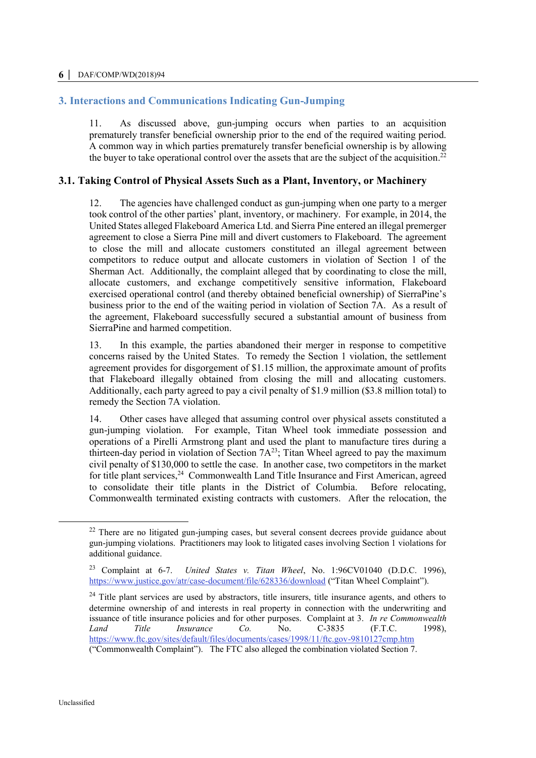# **3. Interactions and Communications Indicating Gun-Jumping**

11. As discussed above, gun-jumping occurs when parties to an acquisition prematurely transfer beneficial ownership prior to the end of the required waiting period. A common way in which parties prematurely transfer beneficial ownership is by allowing the buyer to take operational control over the assets that are the subject of the acquisition. 22

# **3.1. Taking Control of Physical Assets Such as a Plant, Inventory, or Machinery**

12. The agencies have challenged conduct as gun-jumping when one party to a merger took control of the other parties' plant, inventory, or machinery. For example, in 2014, the United States alleged Flakeboard America Ltd. and Sierra Pine entered an illegal premerger agreement to close a Sierra Pine mill and divert customers to Flakeboard. The agreement to close the mill and allocate customers constituted an illegal agreement between competitors to reduce output and allocate customers in violation of Section 1 of the Sherman Act. Additionally, the complaint alleged that by coordinating to close the mill, allocate customers, and exchange competitively sensitive information, Flakeboard exercised operational control (and thereby obtained beneficial ownership) of SierraPine's business prior to the end of the waiting period in violation of Section 7A. As a result of the agreement, Flakeboard successfully secured a substantial amount of business from SierraPine and harmed competition.

13. In this example, the parties abandoned their merger in response to competitive concerns raised by the United States. To remedy the Section 1 violation, the settlement agreement provides for disgorgement of \$1.15 million, the approximate amount of profits that Flakeboard illegally obtained from closing the mill and allocating customers. Additionally, each party agreed to pay a civil penalty of \$1.9 million (\$3.8 million total) to remedy the Section 7A violation.

14. Other cases have alleged that assuming control over physical assets constituted a gun-jumping violation. For example, Titan Wheel took immediate possession and operations of a Pirelli Armstrong plant and used the plant to manufacture tires during a thirteen-day period in violation of Section  $7A^{23}$ ; Titan Wheel agreed to pay the maximum civil penalty of \$130,000 to settle the case. In another case, two competitors in the market for title plant services,<sup>24</sup> Commonwealth Land Title Insurance and First American, agreed to consolidate their title plants in the District of Columbia. Before relocating, Commonwealth terminated existing contracts with customers. After the relocation, the

<sup>&</sup>lt;sup>22</sup> There are no litigated gun-jumping cases, but several consent decrees provide guidance about gun-jumping violations. Practitioners may look to litigated cases involving Section 1 violations for additional guidance.

<sup>23</sup> Complaint at 6-7. *United States v. Titan Wheel*, No. 1:96CV01040 (D.D.C. 1996), <https://www.justice.gov/atr/case-document/file/628336/download> ("Titan Wheel Complaint").

 $24$  Title plant services are used by abstractors, title insurers, title insurance agents, and others to determine ownership of and interests in real property in connection with the underwriting and issuance of title insurance policies and for other purposes. Complaint at 3. *In re Commonwealth Land Title Insurance Co.* No. C-3835 (F.T.C. 1998), <https://www.ftc.gov/sites/default/files/documents/cases/1998/11/ftc.gov-9810127cmp.htm>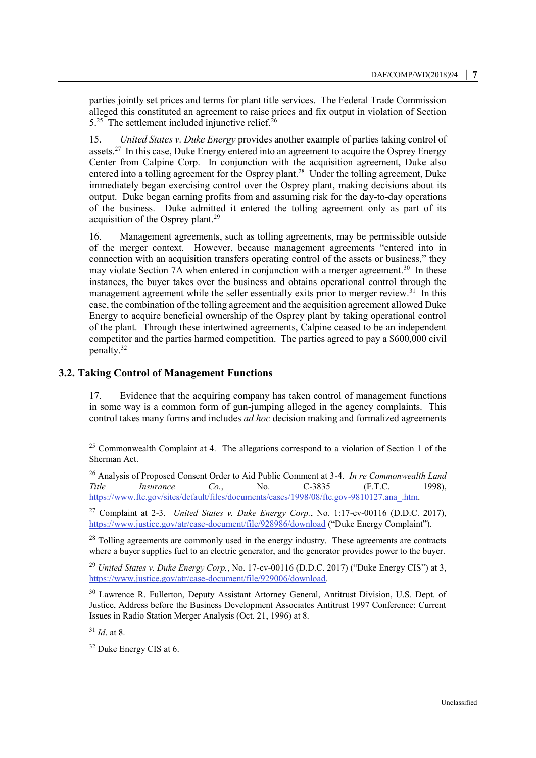parties jointly set prices and terms for plant title services. The Federal Trade Commission alleged this constituted an agreement to raise prices and fix output in violation of Section  $5.^{25}$  The settlement included injunctive relief.<sup>26</sup>

15. *United States v. Duke Energy* provides another example of parties taking control of assets.<sup>27</sup> In this case, Duke Energy entered into an agreement to acquire the Osprey Energy Center from Calpine Corp. In conjunction with the acquisition agreement, Duke also entered into a tolling agreement for the Osprey plant.<sup>28</sup> Under the tolling agreement, Duke immediately began exercising control over the Osprey plant, making decisions about its output. Duke began earning profits from and assuming risk for the day-to-day operations of the business. Duke admitted it entered the tolling agreement only as part of its acquisition of the Osprey plant.<sup>29</sup>

16. Management agreements, such as tolling agreements, may be permissible outside of the merger context. However, because management agreements "entered into in connection with an acquisition transfers operating control of the assets or business," they may violate Section 7A when entered in conjunction with a merger agreement.<sup>30</sup> In these instances, the buyer takes over the business and obtains operational control through the management agreement while the seller essentially exits prior to merger review.<sup>31</sup> In this case, the combination of the tolling agreement and the acquisition agreement allowed Duke Energy to acquire beneficial ownership of the Osprey plant by taking operational control of the plant. Through these intertwined agreements, Calpine ceased to be an independent competitor and the parties harmed competition. The parties agreed to pay a \$600,000 civil penalty.<sup>32</sup>

#### **3.2. Taking Control of Management Functions**

17. Evidence that the acquiring company has taken control of management functions in some way is a common form of gun-jumping alleged in the agency complaints. This control takes many forms and includes *ad hoc* decision making and formalized agreements

<sup>31</sup> *Id*. at 8.

 $\overline{a}$ 

<sup>32</sup> Duke Energy CIS at 6.

 $25$  Commonwealth Complaint at 4. The allegations correspond to a violation of Section 1 of the Sherman Act.

<sup>26</sup> Analysis of Proposed Consent Order to Aid Public Comment at 3-4. *In re Commonwealth Land Title Insurance Co.*, No. C-3835 (F.T.C. 1998), [https://www.ftc.gov/sites/default/files/documents/cases/1998/08/ftc.gov-9810127.ana\\_.htm.](https://www.ftc.gov/sites/default/files/documents/cases/1998/08/ftc.gov-9810127.ana_.htm) 

<sup>27</sup> Complaint at 2-3. *United States v. Duke Energy Corp.*, No. 1:17-cv-00116 (D.D.C. 2017), <https://www.justice.gov/atr/case-document/file/928986/download> ("Duke Energy Complaint").

 $28$  Tolling agreements are commonly used in the energy industry. These agreements are contracts where a buyer supplies fuel to an electric generator, and the generator provides power to the buyer.

<sup>29</sup> *United States v. Duke Energy Corp.*, No. 17-cv-00116 (D.D.C. 2017) ("Duke Energy CIS") at 3, [https://www.justice.gov/atr/case-document/file/929006/download.](https://www.justice.gov/atr/case-document/file/929006/download)

<sup>&</sup>lt;sup>30</sup> Lawrence R. Fullerton, Deputy Assistant Attorney General, Antitrust Division, U.S. Dept. of Justice, Address before the Business Development Associates Antitrust 1997 Conference: Current Issues in Radio Station Merger Analysis (Oct. 21, 1996) at 8.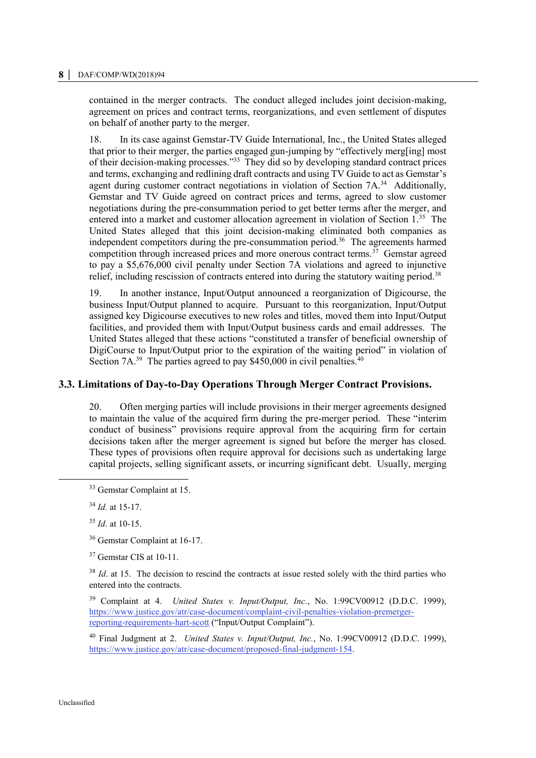contained in the merger contracts. The conduct alleged includes joint decision-making, agreement on prices and contract terms, reorganizations, and even settlement of disputes on behalf of another party to the merger.

18. In its case against Gemstar-TV Guide International, Inc., the United States alleged that prior to their merger, the parties engaged gun-jumping by "effectively merg[ing] most of their decision-making processes."<sup>33</sup> They did so by developing standard contract prices and terms, exchanging and redlining draft contracts and using TV Guide to act as Gemstar's agent during customer contract negotiations in violation of Section 7A.<sup>34</sup> Additionally, Gemstar and TV Guide agreed on contract prices and terms, agreed to slow customer negotiations during the pre-consummation period to get better terms after the merger, and entered into a market and customer allocation agreement in violation of Section 1.<sup>35</sup> The United States alleged that this joint decision-making eliminated both companies as independent competitors during the pre-consummation period.<sup>36</sup> The agreements harmed competition through increased prices and more onerous contract terms.<sup>37</sup> Gemstar agreed to pay a \$5,676,000 civil penalty under Section 7A violations and agreed to injunctive relief, including rescission of contracts entered into during the statutory waiting period.<sup>38</sup>

19. In another instance, Input/Output announced a reorganization of Digicourse, the business Input/Output planned to acquire. Pursuant to this reorganization, Input/Output assigned key Digicourse executives to new roles and titles, moved them into Input/Output facilities, and provided them with Input/Output business cards and email addresses. The United States alleged that these actions "constituted a transfer of beneficial ownership of DigiCourse to Input/Output prior to the expiration of the waiting period" in violation of Section  $7A^{39}$  The parties agreed to pay \$450,000 in civil penalties.<sup>40</sup>

#### **3.3. Limitations of Day-to-Day Operations Through Merger Contract Provisions.**

20. Often merging parties will include provisions in their merger agreements designed to maintain the value of the acquired firm during the pre-merger period. These "interim conduct of business" provisions require approval from the acquiring firm for certain decisions taken after the merger agreement is signed but before the merger has closed. These types of provisions often require approval for decisions such as undertaking large capital projects, selling significant assets, or incurring significant debt. Usually, merging

<sup>34</sup> *Id.* at 15-17.

 $\overline{a}$ 

<sup>37</sup> Gemstar CIS at 10-11.

<sup>38</sup> *Id.* at 15. The decision to rescind the contracts at issue rested solely with the third parties who entered into the contracts.

<sup>39</sup> Complaint at 4. *United States v. Input/Output, Inc.*, No. 1:99CV00912 (D.D.C. 1999), [https://www.justice.gov/atr/case-document/complaint-civil-penalties-violation-premerger](https://www.justice.gov/atr/case-document/complaint-civil-penalties-violation-premerger-reporting-requirements-hart-scott)[reporting-requirements-hart-scott](https://www.justice.gov/atr/case-document/complaint-civil-penalties-violation-premerger-reporting-requirements-hart-scott) ("Input/Output Complaint").

<sup>40</sup> Final Judgment at 2. *United States v. Input/Output, Inc.*, No. 1:99CV00912 (D.D.C. 1999), [https://www.justice.gov/atr/case-document/proposed-final-judgment-154.](https://www.justice.gov/atr/case-document/proposed-final-judgment-154) 

<sup>33</sup> Gemstar Complaint at 15.

<sup>35</sup> *Id*. at 10-15.

<sup>36</sup> Gemstar Complaint at 16-17.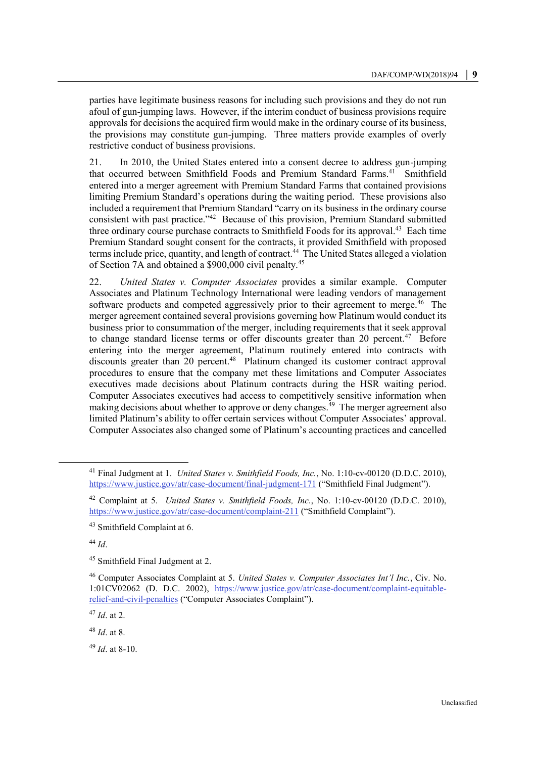parties have legitimate business reasons for including such provisions and they do not run afoul of gun-jumping laws. However, if the interim conduct of business provisions require approvals for decisions the acquired firm would make in the ordinary course of its business, the provisions may constitute gun-jumping. Three matters provide examples of overly restrictive conduct of business provisions.

21. In 2010, the United States entered into a consent decree to address gun-jumping that occurred between Smithfield Foods and Premium Standard Farms.<sup>41</sup> Smithfield entered into a merger agreement with Premium Standard Farms that contained provisions limiting Premium Standard's operations during the waiting period. These provisions also included a requirement that Premium Standard "carry on its business in the ordinary course consistent with past practice."<sup>42</sup> Because of this provision, Premium Standard submitted three ordinary course purchase contracts to Smithfield Foods for its approval.<sup>43</sup> Each time Premium Standard sought consent for the contracts, it provided Smithfield with proposed terms include price, quantity, and length of contract.<sup>44</sup> The United States alleged a violation of Section 7A and obtained a \$900,000 civil penalty.<sup>45</sup>

22. *United States v. Computer Associates* provides a similar example. Computer Associates and Platinum Technology International were leading vendors of management software products and competed aggressively prior to their agreement to merge.<sup>46</sup> The merger agreement contained several provisions governing how Platinum would conduct its business prior to consummation of the merger, including requirements that it seek approval to change standard license terms or offer discounts greater than 20 percent. $47$  Before entering into the merger agreement, Platinum routinely entered into contracts with discounts greater than 20 percent.<sup>48</sup> Platinum changed its customer contract approval procedures to ensure that the company met these limitations and Computer Associates executives made decisions about Platinum contracts during the HSR waiting period. Computer Associates executives had access to competitively sensitive information when making decisions about whether to approve or deny changes.<sup>49</sup> The merger agreement also limited Platinum's ability to offer certain services without Computer Associates' approval. Computer Associates also changed some of Platinum's accounting practices and cancelled

<sup>44</sup> *Id*.

 $\overline{a}$ 

<sup>45</sup> Smithfield Final Judgment at 2.

<sup>47</sup> *Id*. at 2.

<sup>48</sup> *Id*. at 8.

<sup>49</sup> *Id*. at 8-10.

<sup>41</sup> Final Judgment at 1. *United States v. Smithfield Foods, Inc.*, No. 1:10-cv-00120 (D.D.C. 2010), <https://www.justice.gov/atr/case-document/final-judgment-171> ("Smithfield Final Judgment").

<sup>42</sup> Complaint at 5. *United States v. Smithfield Foods, Inc.*, No. 1:10-cv-00120 (D.D.C. 2010), <https://www.justice.gov/atr/case-document/complaint-211> ("Smithfield Complaint").

<sup>43</sup> Smithfield Complaint at 6.

<sup>46</sup> Computer Associates Complaint at 5. *United States v. Computer Associates Int'l Inc.*, Civ. No. 1:01CV02062 (D. D.C. 2002), [https://www.justice.gov/atr/case-document/complaint-equitable](https://www.justice.gov/atr/case-document/complaint-equitable-relief-and-civil-penalties)[relief-and-civil-penalties](https://www.justice.gov/atr/case-document/complaint-equitable-relief-and-civil-penalties) ("Computer Associates Complaint").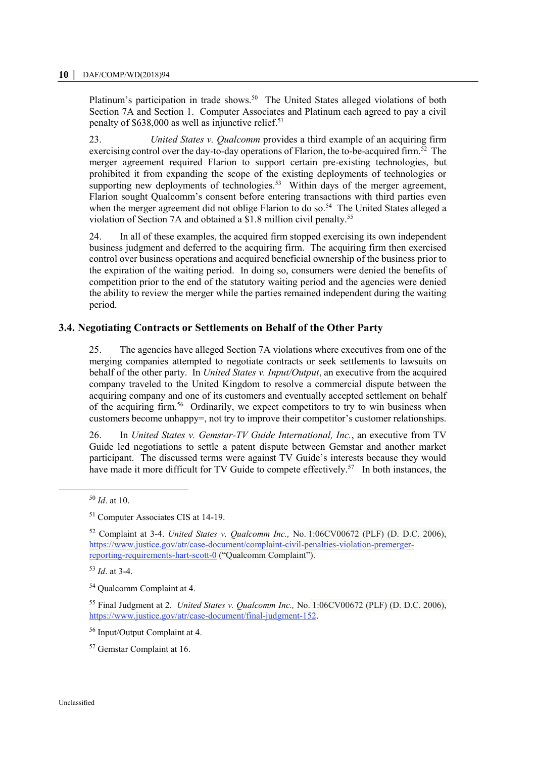Platinum's participation in trade shows.<sup>50</sup> The United States alleged violations of both Section 7A and Section 1. Computer Associates and Platinum each agreed to pay a civil penalty of \$638,000 as well as injunctive relief.<sup>51</sup>

23. *United States v. Qualcomm* provides a third example of an acquiring firm exercising control over the day-to-day operations of Flarion, the to-be-acquired firm.<sup>52</sup> The merger agreement required Flarion to support certain pre-existing technologies, but prohibited it from expanding the scope of the existing deployments of technologies or supporting new deployments of technologies.<sup>53</sup> Within days of the merger agreement, Flarion sought Qualcomm's consent before entering transactions with third parties even when the merger agreement did not oblige Flarion to do so.<sup>54</sup> The United States alleged a violation of Section 7A and obtained a \$1.8 million civil penalty.<sup>55</sup>

24. In all of these examples, the acquired firm stopped exercising its own independent business judgment and deferred to the acquiring firm. The acquiring firm then exercised control over business operations and acquired beneficial ownership of the business prior to the expiration of the waiting period. In doing so, consumers were denied the benefits of competition prior to the end of the statutory waiting period and the agencies were denied the ability to review the merger while the parties remained independent during the waiting period.

#### **3.4. Negotiating Contracts or Settlements on Behalf of the Other Party**

25. The agencies have alleged Section 7A violations where executives from one of the merging companies attempted to negotiate contracts or seek settlements to lawsuits on behalf of the other party. In *United States v. Input/Output*, an executive from the acquired company traveled to the United Kingdom to resolve a commercial dispute between the acquiring company and one of its customers and eventually accepted settlement on behalf of the acquiring firm.<sup>56</sup> Ordinarily, we expect competitors to try to win business when customers become unhappy=, not try to improve their competitor's customer relationships.

26. In *United States v. Gemstar-TV Guide International, Inc.*, an executive from TV Guide led negotiations to settle a patent dispute between Gemstar and another market participant. The discussed terms were against TV Guide's interests because they would have made it more difficult for TV Guide to compete effectively.<sup>57</sup> In both instances, the

 $\overline{a}$ 

<sup>53</sup> *Id*. at 3-4.

<sup>54</sup> Qualcomm Complaint at 4.

<sup>56</sup> Input/Output Complaint at 4.

<sup>57</sup> Gemstar Complaint at 16.

<sup>50</sup> *Id*. at 10.

<sup>51</sup> Computer Associates CIS at 14-19.

<sup>52</sup> Complaint at 3-4. *United States v. Qualcomm Inc.,* No. 1:06CV00672 (PLF) (D. D.C. 2006), [https://www.justice.gov/atr/case-document/complaint-civil-penalties-violation-premerger](https://www.justice.gov/atr/case-document/complaint-civil-penalties-violation-premerger-reporting-requirements-hart-scott-0)[reporting-requirements-hart-scott-0](https://www.justice.gov/atr/case-document/complaint-civil-penalties-violation-premerger-reporting-requirements-hart-scott-0) ("Qualcomm Complaint").

<sup>55</sup> Final Judgment at 2. *United States v. Qualcomm Inc.,* No. 1:06CV00672 (PLF) (D. D.C. 2006), [https://www.justice.gov/atr/case-document/final-judgment-152.](https://www.justice.gov/atr/case-document/final-judgment-152)